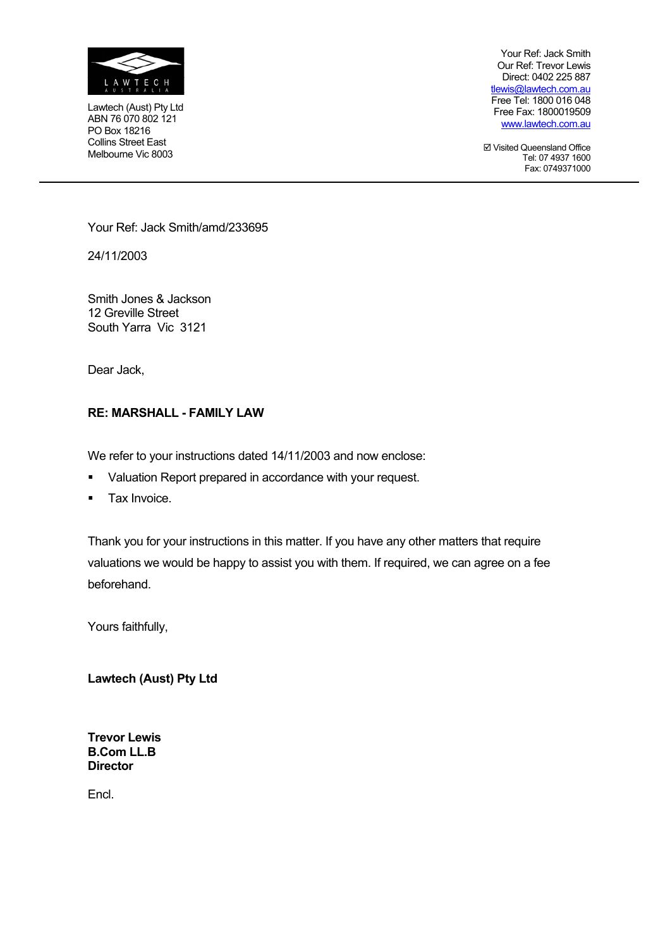

Lawtech (Aust) Pty Ltd ABN 76 070 802 121 PO Box 18216 Collins Street East Melbourne Vic 8003

Your Ref: Jack Smith Our Ref: Trevor Lewis Direct: 0402 225 887 tlewis@lawtech.com.au Free Tel: 1800 016 048 Free Fax: 1800019509 www.lawtech.com.au

; Visited Queensland Office Tel: 07 4937 1600 Fax: 0749371000

Your Ref: Jack Smith/amd/233695

24/11/2003

Smith Jones & Jackson 12 Greville Street South Yarra Vic 3121

Dear Jack,

#### **RE: MARSHALL - FAMILY LAW**

We refer to your instructions dated 14/11/2003 and now enclose:

- Valuation Report prepared in accordance with your request.
- **Tax Invoice.**

Thank you for your instructions in this matter. If you have any other matters that require valuations we would be happy to assist you with them. If required, we can agree on a fee beforehand.

Yours faithfully,

**Lawtech (Aust) Pty Ltd** 

**Trevor Lewis B.Com LL.B Director** 

Encl.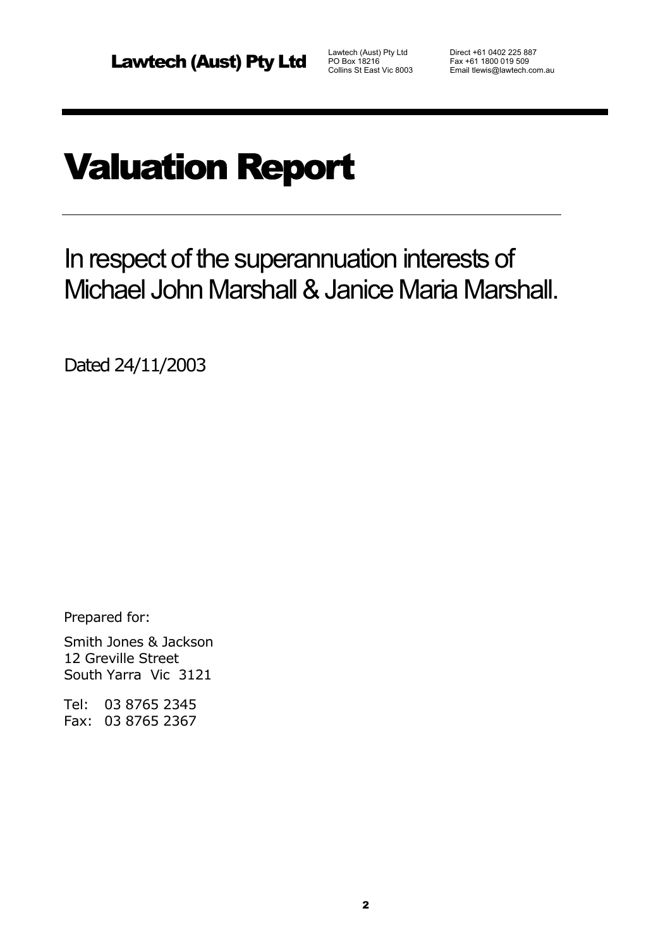Fax +61 1800 019 509 Email tlewis@lawtech.com.au

# Valuation Report

In respect of the superannuation interests of Michael John Marshall & Janice Maria Marshall.

Dated 24/11/2003

Prepared for:

Smith Jones & Jackson 12 Greville Street South Yarra Vic 3121

Tel: 03 8765 2345 Fax: 03 8765 2367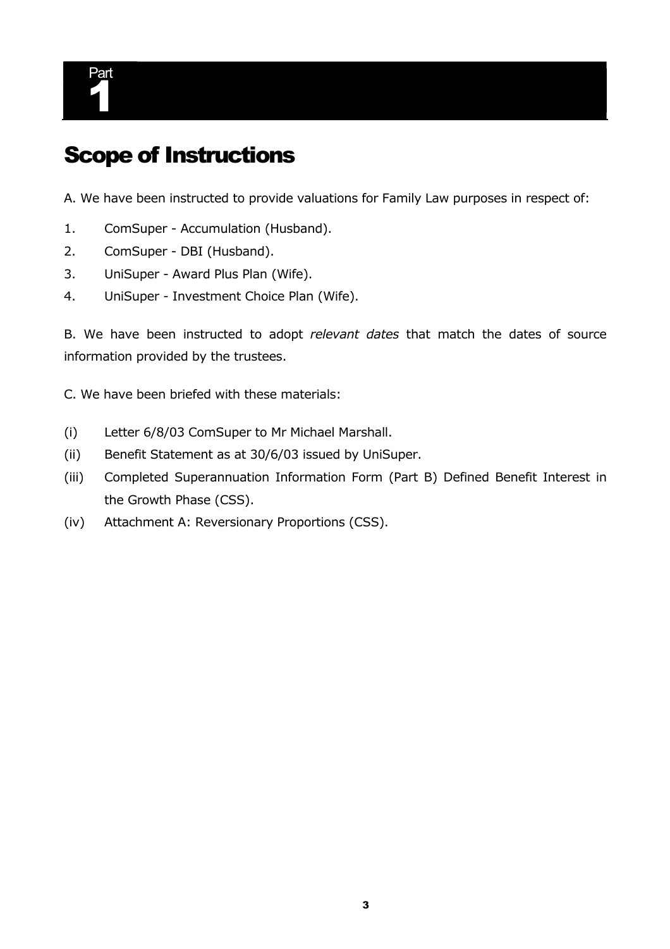

### Scope of Instructions

A. We have been instructed to provide valuations for Family Law purposes in respect of:

- 1. ComSuper Accumulation (Husband).
- 2. ComSuper DBI (Husband).
- 3. UniSuper Award Plus Plan (Wife).
- 4. UniSuper Investment Choice Plan (Wife).

B. We have been instructed to adopt *relevant dates* that match the dates of source information provided by the trustees.

C. We have been briefed with these materials:

- (i) Letter 6/8/03 ComSuper to Mr Michael Marshall.
- (ii) Benefit Statement as at 30/6/03 issued by UniSuper.
- (iii) Completed Superannuation Information Form (Part B) Defined Benefit Interest in the Growth Phase (CSS).
- (iv) Attachment A: Reversionary Proportions (CSS).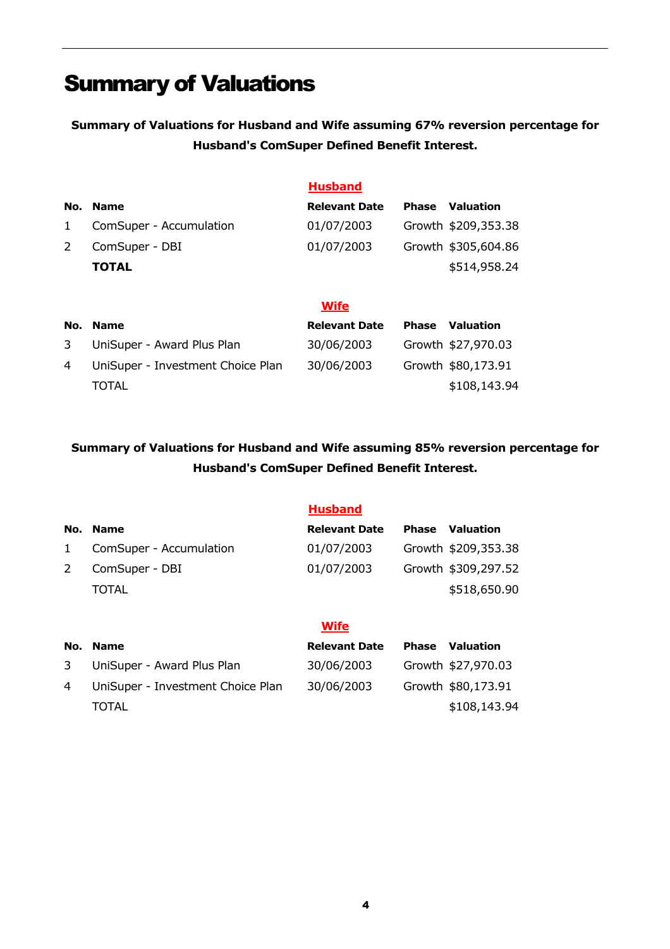## Summary of Valuations

**Summary of Valuations for Husband and Wife assuming 67% reversion percentage for Husband's ComSuper Defined Benefit Interest.** 

|               |                         | <b>Husband</b>       |              |                     |
|---------------|-------------------------|----------------------|--------------|---------------------|
| No.           | <b>Name</b>             | <b>Relevant Date</b> | <b>Phase</b> | <b>Valuation</b>    |
| $\mathbf{1}$  | ComSuper - Accumulation | 01/07/2003           |              | Growth \$209,353.38 |
| $\mathcal{L}$ | ComSuper - DBI          | 01/07/2003           |              | Growth \$305,604.86 |
|               | <b>TOTAL</b>            |                      |              | \$514,958.24        |
|               |                         |                      |              |                     |
|               |                         | <b>Wife</b>          |              |                     |
| No.           | <b>Name</b>             | <b>Relevant Date</b> | <b>Phase</b> | <b>Valuation</b>    |

| 3 | UniSuper - Award Plus Plan          | 30/06/2003 | Growth \$27,970.03 |
|---|-------------------------------------|------------|--------------------|
|   | 4 UniSuper - Investment Choice Plan | 30/06/2003 | Growth \$80,173.91 |
|   | <b>TOTAL</b>                        |            | \$108,143.94       |

### **Summary of Valuations for Husband and Wife assuming 85% reversion percentage for Husband's ComSuper Defined Benefit Interest.**

|              |                            | <b>Husband</b>       |              |                     |
|--------------|----------------------------|----------------------|--------------|---------------------|
| No.          | <b>Name</b>                | <b>Relevant Date</b> | <b>Phase</b> | Valuation           |
| $\mathbf{1}$ | ComSuper - Accumulation    | 01/07/2003           |              | Growth \$209,353.38 |
| 2            | ComSuper - DBI             | 01/07/2003           |              | Growth \$309,297.52 |
|              | TOTAL                      |                      |              | \$518,650.90        |
|              |                            |                      |              |                     |
|              |                            | <b>Wife</b>          |              |                     |
| No.          | <b>Name</b>                | <b>Relevant Date</b> | <b>Phase</b> | <b>Valuation</b>    |
| 3            | UniSuper - Award Plus Plan | 30/06/2003           |              | Growth \$27,970.03  |

4 UniSuper - Investment Choice Plan 30/06/2003 Growth \$80,173.91

TOTAL \$108,143.94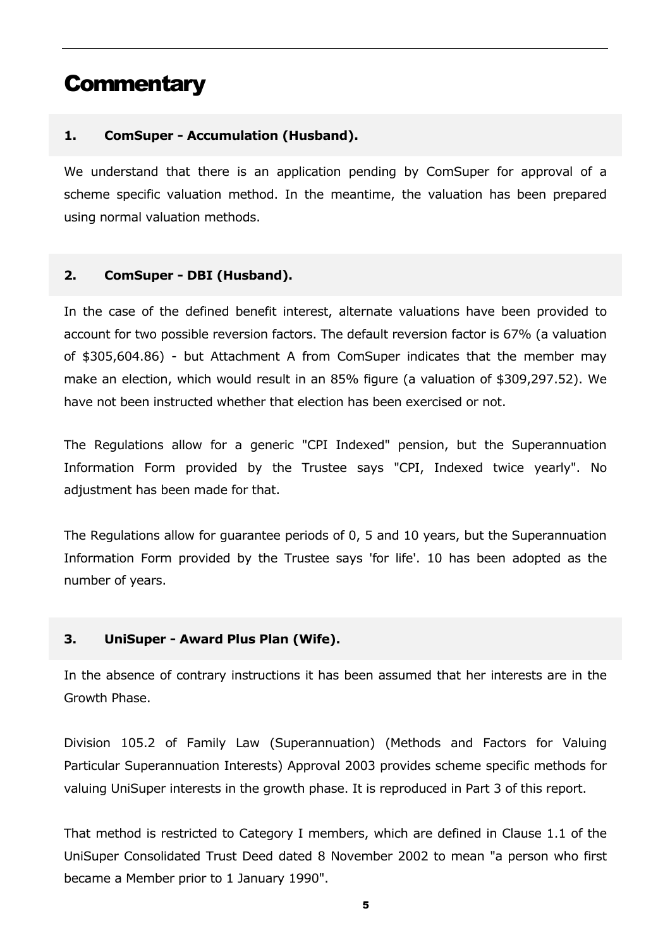### **Commentary**

### **1. ComSuper - Accumulation (Husband).**

We understand that there is an application pending by ComSuper for approval of a scheme specific valuation method. In the meantime, the valuation has been prepared using normal valuation methods.

#### **2. ComSuper - DBI (Husband).**

In the case of the defined benefit interest, alternate valuations have been provided to account for two possible reversion factors. The default reversion factor is 67% (a valuation of \$305,604.86) - but Attachment A from ComSuper indicates that the member may make an election, which would result in an 85% figure (a valuation of \$309,297.52). We have not been instructed whether that election has been exercised or not.

The Regulations allow for a generic "CPI Indexed" pension, but the Superannuation Information Form provided by the Trustee says "CPI, Indexed twice yearly". No adjustment has been made for that.

The Regulations allow for guarantee periods of 0, 5 and 10 years, but the Superannuation Information Form provided by the Trustee says 'for life'. 10 has been adopted as the number of years.

### **3. UniSuper - Award Plus Plan (Wife).**

In the absence of contrary instructions it has been assumed that her interests are in the Growth Phase.

Division 105.2 of Family Law (Superannuation) (Methods and Factors for Valuing Particular Superannuation Interests) Approval 2003 provides scheme specific methods for valuing UniSuper interests in the growth phase. It is reproduced in Part 3 of this report.

That method is restricted to Category I members, which are defined in Clause 1.1 of the UniSuper Consolidated Trust Deed dated 8 November 2002 to mean "a person who first became a Member prior to 1 January 1990".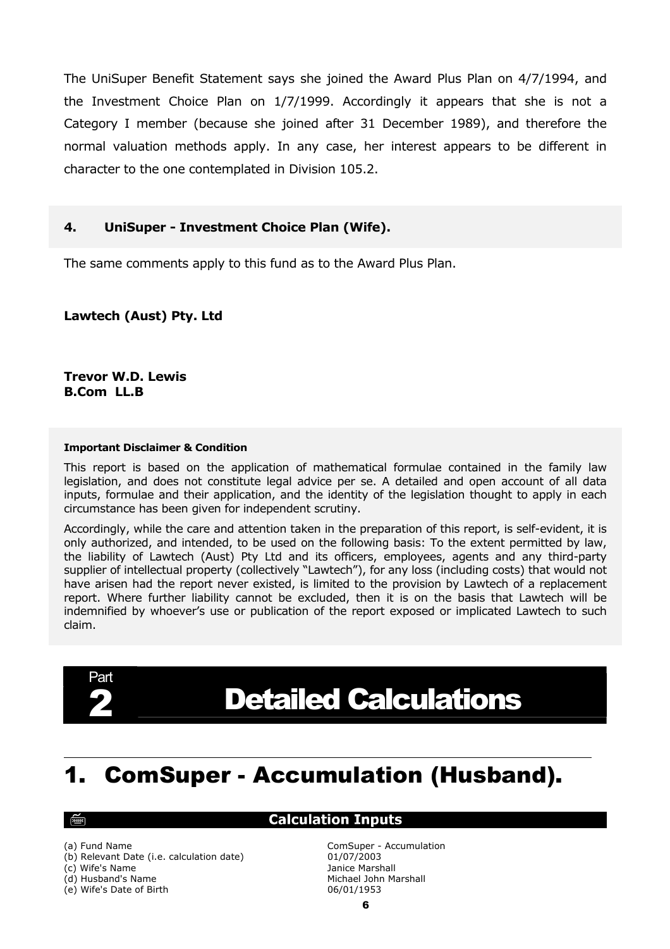The UniSuper Benefit Statement says she joined the Award Plus Plan on 4/7/1994, and the Investment Choice Plan on 1/7/1999. Accordingly it appears that she is not a Category I member (because she joined after 31 December 1989), and therefore the normal valuation methods apply. In any case, her interest appears to be different in character to the one contemplated in Division 105.2.

#### **4. UniSuper - Investment Choice Plan (Wife).**

The same comments apply to this fund as to the Award Plus Plan.

**Lawtech (Aust) Pty. Ltd** 

**Trevor W.D. Lewis B.Com LL.B**

#### **Important Disclaimer & Condition**

This report is based on the application of mathematical formulae contained in the family law legislation, and does not constitute legal advice per se. A detailed and open account of all data inputs, formulae and their application, and the identity of the legislation thought to apply in each circumstance has been given for independent scrutiny.

Accordingly, while the care and attention taken in the preparation of this report, is self-evident, it is only authorized, and intended, to be used on the following basis: To the extent permitted by law, the liability of Lawtech (Aust) Pty Ltd and its officers, employees, agents and any third-party supplier of intellectual property (collectively "Lawtech"), for any loss (including costs) that would not have arisen had the report never existed, is limited to the provision by Lawtech of a replacement report. Where further liability cannot be excluded, then it is on the basis that Lawtech will be indemnified by whoever's use or publication of the report exposed or implicated Lawtech to such claim.



# **Detailed Calculations**

## 1. ComSuper - Accumulation (Husband).

#### ্ক্রিল

#### **Calculation Inputs**

(b) Relevant Date (i.e. calculation date) 01/07/2003

(e) Wife's Date of Birth 06/01/1953

(a) Fund Name ComSuper - Accumulation (c) Wife's Name Janice Marshall (d) Husband's Name Michael John Marshall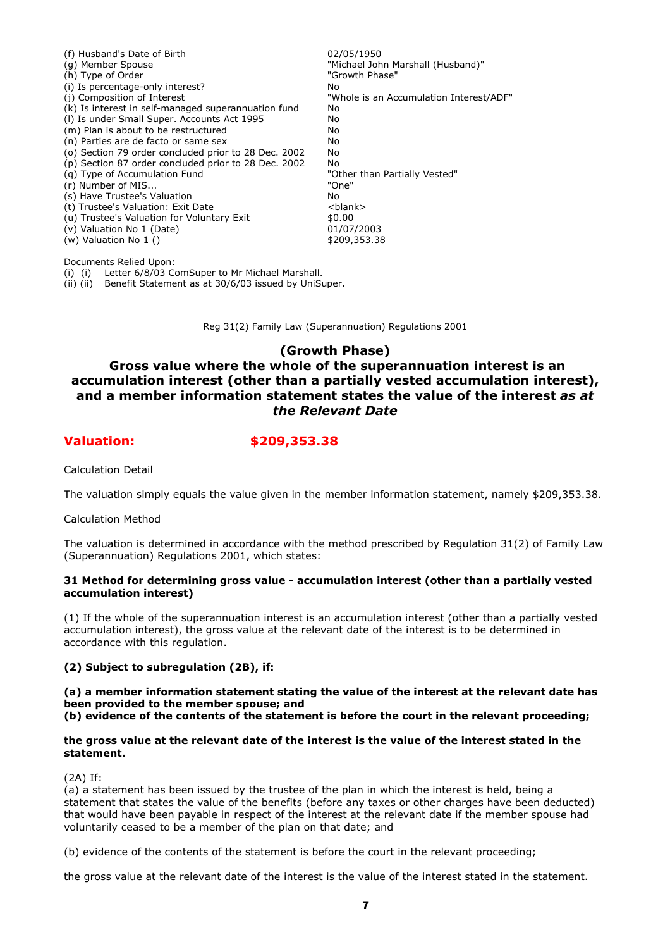| (f) Husband's Date of Birth                          | 02/05/1950                              |
|------------------------------------------------------|-----------------------------------------|
| (g) Member Spouse                                    | "Michael John Marshall (Husband)"       |
| (h) Type of Order                                    | "Growth Phase"                          |
| (i) Is percentage-only interest?                     | No                                      |
| (i) Composition of Interest                          | "Whole is an Accumulation Interest/ADF" |
| (k) Is interest in self-managed superannuation fund  | No                                      |
| (I) Is under Small Super. Accounts Act 1995          | No                                      |
| (m) Plan is about to be restructured                 | No                                      |
| (n) Parties are de facto or same sex                 | No                                      |
| (o) Section 79 order concluded prior to 28 Dec. 2002 | No                                      |
| (p) Section 87 order concluded prior to 28 Dec. 2002 | No                                      |
| (q) Type of Accumulation Fund                        | "Other than Partially Vested"           |
| (r) Number of MIS                                    | "One"                                   |
| (s) Have Trustee's Valuation                         | No                                      |
| (t) Trustee's Valuation: Exit Date                   | <blank></blank>                         |
| (u) Trustee's Valuation for Voluntary Exit           | \$0.00                                  |
| (v) Valuation No 1 (Date)                            | 01/07/2003                              |
| (w) Valuation No 1 ()                                | \$209,353.38                            |
| Documents Relied Upon:                               |                                         |

(i) (i) Letter 6/8/03 ComSuper to Mr Michael Marshall.

(ii) (ii) Benefit Statement as at 30/6/03 issued by UniSuper.

Reg 31(2) Family Law (Superannuation) Regulations 2001

#### **(Growth Phase)**

### **Gross value where the whole of the superannuation interest is an accumulation interest (other than a partially vested accumulation interest), and a member information statement states the value of the interest** *as at the Relevant Date*

**Valuation: \$209,353.38**

Calculation Detail

The valuation simply equals the value given in the member information statement, namely \$209,353.38.

#### Calculation Method

The valuation is determined in accordance with the method prescribed by Regulation 31(2) of Family Law (Superannuation) Regulations 2001, which states:

#### **31 Method for determining gross value - accumulation interest (other than a partially vested accumulation interest)**

(1) If the whole of the superannuation interest is an accumulation interest (other than a partially vested accumulation interest), the gross value at the relevant date of the interest is to be determined in accordance with this regulation.

#### **(2) Subject to subregulation (2B), if:**

**(a) a member information statement stating the value of the interest at the relevant date has been provided to the member spouse; and** 

**(b) evidence of the contents of the statement is before the court in the relevant proceeding;** 

#### **the gross value at the relevant date of the interest is the value of the interest stated in the statement.**

(2A) If:

(a) a statement has been issued by the trustee of the plan in which the interest is held, being a statement that states the value of the benefits (before any taxes or other charges have been deducted) that would have been payable in respect of the interest at the relevant date if the member spouse had voluntarily ceased to be a member of the plan on that date; and

(b) evidence of the contents of the statement is before the court in the relevant proceeding;

the gross value at the relevant date of the interest is the value of the interest stated in the statement.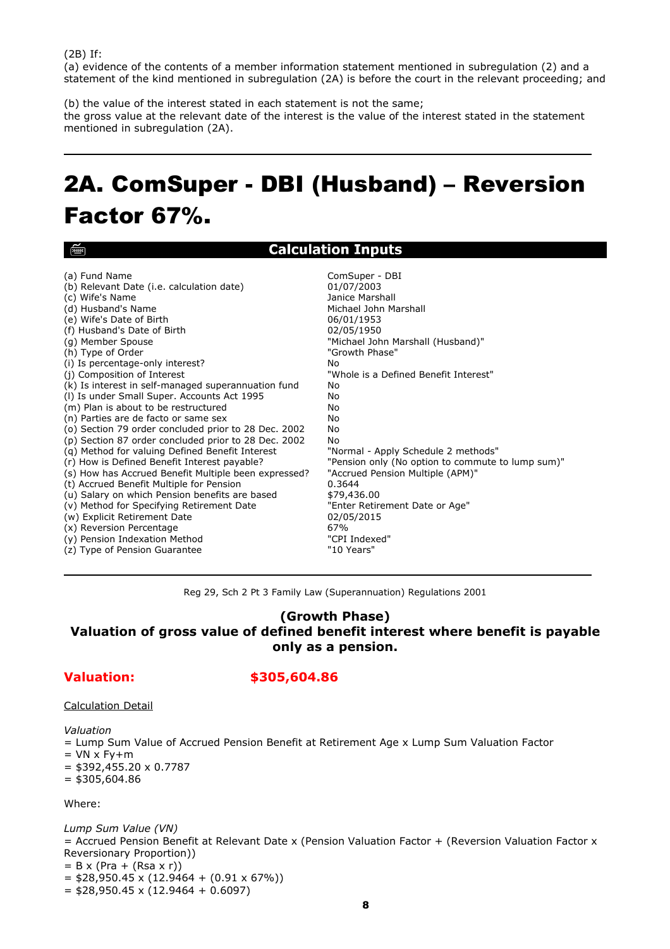। ख्ब्बा

(a) evidence of the contents of a member information statement mentioned in subregulation (2) and a statement of the kind mentioned in subregulation (2A) is before the court in the relevant proceeding; and

(b) the value of the interest stated in each statement is not the same; the gross value at the relevant date of the interest is the value of the interest stated in the statement mentioned in subregulation (2A).

# 2A.ComSuper - DBI (Husband) – Reversion Factor 67%.

### **Calculation Inputs**

| (a) Fund Name                                        | ComSuper - DBI                                    |
|------------------------------------------------------|---------------------------------------------------|
| (b) Relevant Date (i.e. calculation date)            | 01/07/2003                                        |
| (c) Wife's Name                                      | Janice Marshall                                   |
| (d) Husband's Name                                   | Michael John Marshall                             |
| (e) Wife's Date of Birth                             | 06/01/1953                                        |
| (f) Husband's Date of Birth                          | 02/05/1950                                        |
| (g) Member Spouse                                    | "Michael John Marshall (Husband)"                 |
| (h) Type of Order                                    | "Growth Phase"                                    |
| (i) Is percentage-only interest?                     | No.                                               |
| (j) Composition of Interest                          | "Whole is a Defined Benefit Interest"             |
| (k) Is interest in self-managed superannuation fund  | No                                                |
| (I) Is under Small Super. Accounts Act 1995          | No                                                |
| (m) Plan is about to be restructured                 | No                                                |
| (n) Parties are de facto or same sex                 | No                                                |
| (o) Section 79 order concluded prior to 28 Dec. 2002 | No                                                |
| (p) Section 87 order concluded prior to 28 Dec. 2002 | No                                                |
| (g) Method for valuing Defined Benefit Interest      | "Normal - Apply Schedule 2 methods"               |
| (r) How is Defined Benefit Interest payable?         | "Pension only (No option to commute to lump sum)" |
| (s) How has Accrued Benefit Multiple been expressed? | "Accrued Pension Multiple (APM)"                  |
| (t) Accrued Benefit Multiple for Pension             | 0.3644                                            |
| (u) Salary on which Pension benefits are based       | \$79,436.00                                       |
| (v) Method for Specifying Retirement Date            | "Enter Retirement Date or Age"                    |
| (w) Explicit Retirement Date                         | 02/05/2015                                        |
| (x) Reversion Percentage                             | 67%                                               |
| (y) Pension Indexation Method                        | "CPI Indexed"                                     |
| (z) Type of Pension Guarantee                        | "10 Years"                                        |

Reg 29, Sch 2 Pt 3 Family Law (Superannuation) Regulations 2001

#### **(Growth Phase) Valuation of gross value of defined benefit interest where benefit is payable only as a pension.**

#### **Valuation: \$305,604.86**

#### Calculation Detail

*Valuation* 

= Lump Sum Value of Accrued Pension Benefit at Retirement Age x Lump Sum Valuation Factor

- $=$  VN  $\times$  Fy+m
- $=$  \$392,455.20  $\times$  0.7787
- $=$  \$305,604.86

Where:

*Lump Sum Value (VN)* = Accrued Pension Benefit at Relevant Date x (Pension Valuation Factor + (Reversion Valuation Factor x Reversionary Proportion))  $= B x (Pra + (Rsa x r))$  $=$  \$28,950.45 x (12.9464 + (0.91 x 67%))

 $=$  \$28,950.45 x (12.9464 + 0.6097)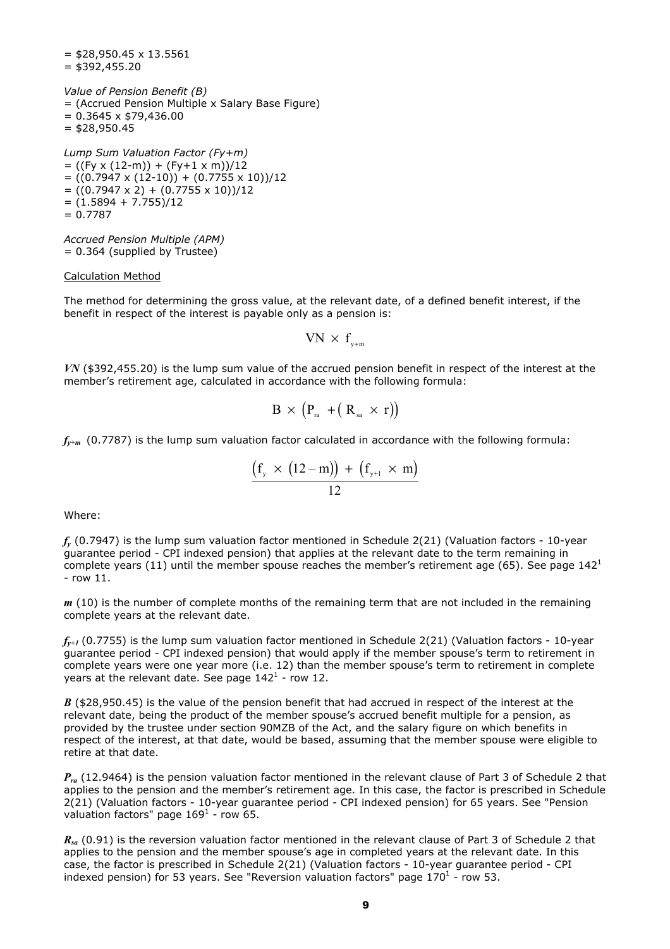$=$  \$28,950.45  $\times$  13.5561  $= $392,455.20$ 

*Value of Pension Benefit (B)* = (Accrued Pension Multiple x Salary Base Figure)  $= 0.3645 \times $79,436.00$  $=$  \$28,950.45

*Lump Sum Valuation Factor (Fy+m)*  $= ((Fy x (12-m)) + (Fy+1 x m))/12$  $= ((0.7947 \times (12-10)) + (0.7755 \times 10))/12$  $= ((0.7947 \times 2) + (0.7755 \times 10))/12$  $= (1.5894 + 7.755)/12$  $= 0.7787$ 

*Accrued Pension Multiple (APM)* = 0.364 (supplied by Trustee)

#### Calculation Method

The method for determining the gross value, at the relevant date, of a defined benefit interest, if the benefit in respect of the interest is payable only as a pension is:

 $VN \times f_{\text{w+m}}$ 

*VN* (\$392,455.20) is the lump sum value of the accrued pension benefit in respect of the interest at the member's retirement age, calculated in accordance with the following formula:

$$
B \, \times \, \big( P_{\scriptscriptstyle \rm ra} \, + (\, R_{\scriptscriptstyle \rm sa} \, \times \, r) \big)
$$

 $f_{y+m}$  (0.7787) is the lump sum valuation factor calculated in accordance with the following formula:

$$
\frac{\left(f_{y} \times (12-m)\right) + \left(f_{y+1} \times m\right)}{12}
$$

Where:

*fy* (0.7947) is the lump sum valuation factor mentioned in Schedule 2(21) (Valuation factors - 10-year guarantee period - CPI indexed pension) that applies at the relevant date to the term remaining in complete years (11) until the member spouse reaches the member's retirement age (65). See page 1421 - row 11.

*m* (10) is the number of complete months of the remaining term that are not included in the remaining complete years at the relevant date.

 $f_{y+t}$  (0.7755) is the lump sum valuation factor mentioned in Schedule 2(21) (Valuation factors - 10-year guarantee period - CPI indexed pension) that would apply if the member spouse's term to retirement in complete years were one year more (i.e. 12) than the member spouse's term to retirement in complete years at the relevant date. See page  $142^1$  - row 12.

*B* (\$28,950.45) is the value of the pension benefit that had accrued in respect of the interest at the relevant date, being the product of the member spouse's accrued benefit multiple for a pension, as provided by the trustee under section 90MZB of the Act, and the salary figure on which benefits in respect of the interest, at that date, would be based, assuming that the member spouse were eligible to retire at that date.

*Pra* (12.9464) is the pension valuation factor mentioned in the relevant clause of Part 3 of Schedule 2 that applies to the pension and the member's retirement age. In this case, the factor is prescribed in Schedule 2(21) (Valuation factors - 10-year guarantee period - CPI indexed pension) for 65 years. See "Pension valuation factors" page  $169^1$  - row 65.

*R<sub>sa</sub>* (0.91) is the reversion valuation factor mentioned in the relevant clause of Part 3 of Schedule 2 that applies to the pension and the member spouse's age in completed years at the relevant date. In this case, the factor is prescribed in Schedule 2(21) (Valuation factors - 10-year guarantee period - CPI indexed pension) for 53 years. See "Reversion valuation factors" page  $170<sup>1</sup>$  - row 53.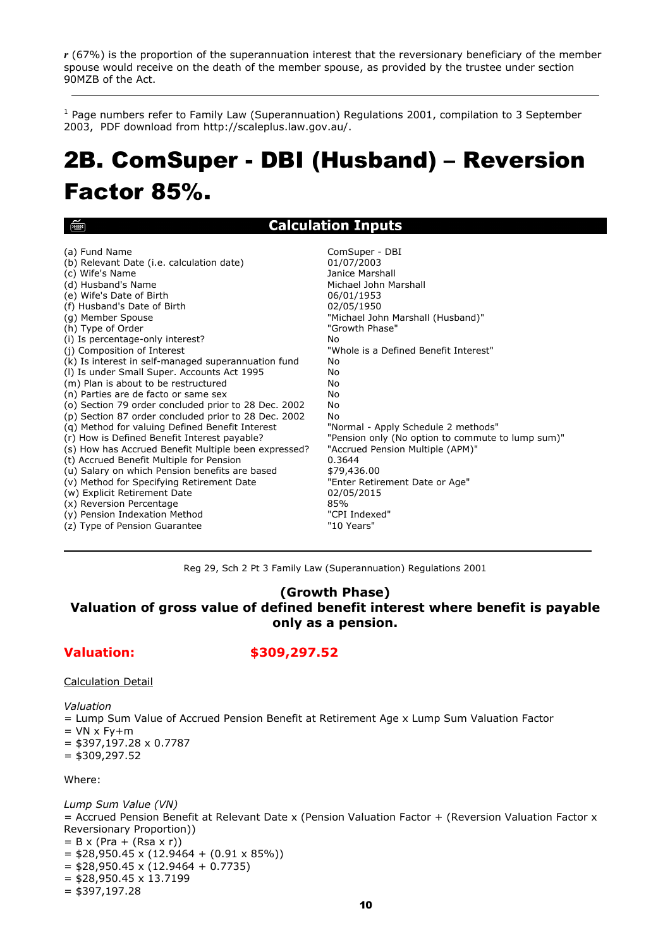*r* (67%) is the proportion of the superannuation interest that the reversionary beneficiary of the member spouse would receive on the death of the member spouse, as provided by the trustee under section 90MZB of the Act.

<sup>1</sup> Page numbers refer to Family Law (Superannuation) Regulations 2001, compilation to 3 September 2003, PDF download from http://scaleplus.law.gov.au/.

## 2B.ComSuper - DBI (Husband) – Reversion Factor 85%.

Calculation Innute

| رحص                                                  | calculation inputs                                |
|------------------------------------------------------|---------------------------------------------------|
| (a) Fund Name                                        | ComSuper - DBI                                    |
| (b) Relevant Date (i.e. calculation date)            | 01/07/2003                                        |
| (c) Wife's Name                                      | Janice Marshall                                   |
| (d) Husband's Name                                   | Michael John Marshall                             |
| (e) Wife's Date of Birth                             | 06/01/1953                                        |
| (f) Husband's Date of Birth                          | 02/05/1950                                        |
| (g) Member Spouse                                    | "Michael John Marshall (Husband)"                 |
| (h) Type of Order                                    | "Growth Phase"                                    |
| (i) Is percentage-only interest?                     | No                                                |
| (j) Composition of Interest                          | "Whole is a Defined Benefit Interest"             |
| (k) Is interest in self-managed superannuation fund  | No.                                               |
| (I) Is under Small Super. Accounts Act 1995          | No                                                |
| (m) Plan is about to be restructured                 | No                                                |
| (n) Parties are de facto or same sex                 | No                                                |
| (o) Section 79 order concluded prior to 28 Dec. 2002 | No                                                |
| (p) Section 87 order concluded prior to 28 Dec. 2002 | No                                                |
| (g) Method for valuing Defined Benefit Interest      | "Normal - Apply Schedule 2 methods"               |
| (r) How is Defined Benefit Interest payable?         | "Pension only (No option to commute to lump sum)" |
| (s) How has Accrued Benefit Multiple been expressed? | "Accrued Pension Multiple (APM)"                  |
| (t) Accrued Benefit Multiple for Pension             | 0.3644                                            |
| (u) Salary on which Pension benefits are based       | \$79,436.00                                       |
| (v) Method for Specifying Retirement Date            | "Enter Retirement Date or Age"                    |
| (w) Explicit Retirement Date                         | 02/05/2015                                        |
| (x) Reversion Percentage                             | 85%                                               |
| (y) Pension Indexation Method                        | "CPI Indexed"                                     |
| (z) Type of Pension Guarantee                        | "10 Years"                                        |

Reg 29, Sch 2 Pt 3 Family Law (Superannuation) Regulations 2001

#### **(Growth Phase) Valuation of gross value of defined benefit interest where benefit is payable only as a pension.**

#### **Valuation: \$309,297.52**

#### Calculation Detail

*Valuation* 

 $\sim$ 

= Lump Sum Value of Accrued Pension Benefit at Retirement Age x Lump Sum Valuation Factor

- $=$  VN x Fy+m
- $=$  \$397,197.28  $\times$  0.7787

 $=$  \$309,297.52

#### Where:

*Lump Sum Value (VN)* = Accrued Pension Benefit at Relevant Date x (Pension Valuation Factor + (Reversion Valuation Factor x Reversionary Proportion))  $= B x (Pra + (Rsa x r))$  $=$  \$28,950.45 x (12.9464 + (0.91 x 85%))  $=$  \$28,950.45 x (12.9464 + 0.7735)  $=$  \$28,950.45 x 13.7199  $=$  \$397,197.28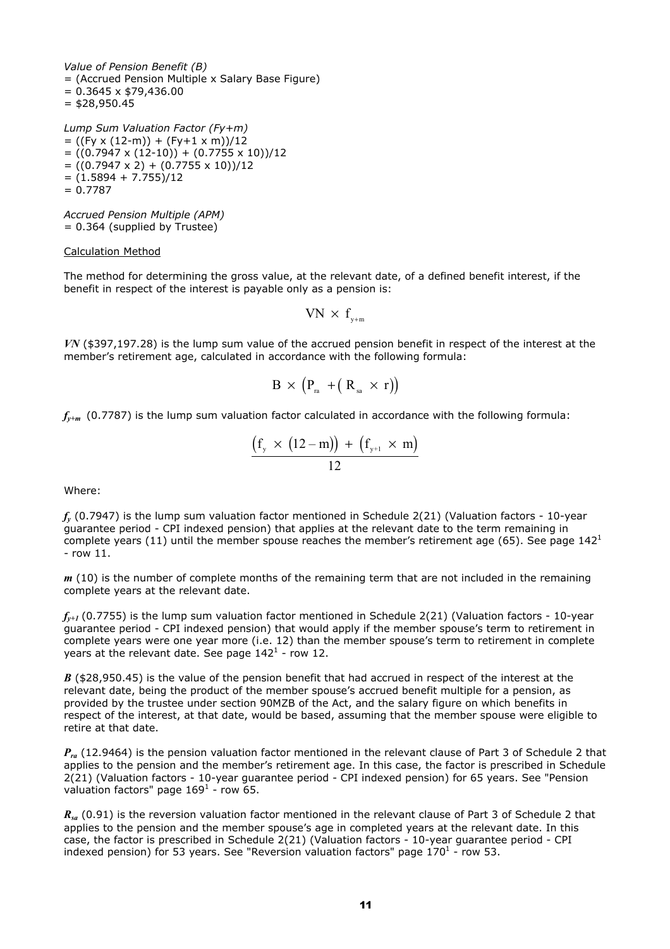*Value of Pension Benefit (B)* = (Accrued Pension Multiple x Salary Base Figure)  $= 0.3645 \times $79,436.00$  $=$  \$28,950.45

*Lump Sum Valuation Factor (Fy+m)*  $= ((Fy x (12-m)) + (Fy+1 x m))/12$  $= ((0.7947 \times (12-10)) + (0.7755 \times 10))/12$  $= ((0.7947 \times 2) + (0.7755 \times 10))/12$  $= (1.5894 + 7.755)/12$  $= 0.7787$ 

*Accrued Pension Multiple (APM)* = 0.364 (supplied by Trustee)

#### Calculation Method

The method for determining the gross value, at the relevant date, of a defined benefit interest, if the benefit in respect of the interest is payable only as a pension is:

 $VN \times f_{\text{w+m}}$ 

*VN* (\$397,197.28) is the lump sum value of the accrued pension benefit in respect of the interest at the member's retirement age, calculated in accordance with the following formula:

$$
B \, \times \, \big( P_{\scriptscriptstyle \rm ra} \, + \big( \, R_{\scriptscriptstyle \rm sa} \, \times \, r \big) \big)
$$

*fy+m* (0.7787) is the lump sum valuation factor calculated in accordance with the following formula:

$$
\frac{\left(f_{\mathrm{y}}\,\times\,\left(12\mathrm{-m}\right)\right)\,+\,\left(f_{\mathrm{y+1}}\,\times\,\mathrm{m}\right)}{12}
$$

Where:

*fy* (0.7947) is the lump sum valuation factor mentioned in Schedule 2(21) (Valuation factors - 10-year guarantee period - CPI indexed pension) that applies at the relevant date to the term remaining in complete years (11) until the member spouse reaches the member's retirement age (65). See page  $142<sup>1</sup>$ - row 11.

*m* (10) is the number of complete months of the remaining term that are not included in the remaining complete years at the relevant date.

 $f_{v+1}$  (0.7755) is the lump sum valuation factor mentioned in Schedule 2(21) (Valuation factors - 10-year guarantee period - CPI indexed pension) that would apply if the member spouse's term to retirement in complete years were one year more (i.e. 12) than the member spouse's term to retirement in complete years at the relevant date. See page  $142^1$  - row 12.

*B* (\$28,950.45) is the value of the pension benefit that had accrued in respect of the interest at the relevant date, being the product of the member spouse's accrued benefit multiple for a pension, as provided by the trustee under section 90MZB of the Act, and the salary figure on which benefits in respect of the interest, at that date, would be based, assuming that the member spouse were eligible to retire at that date.

*Pra* (12.9464) is the pension valuation factor mentioned in the relevant clause of Part 3 of Schedule 2 that applies to the pension and the member's retirement age. In this case, the factor is prescribed in Schedule 2(21) (Valuation factors - 10-year guarantee period - CPI indexed pension) for 65 years. See "Pension valuation factors" page  $169<sup>1</sup>$  - row 65.

*R<sub>sa</sub>* (0.91) is the reversion valuation factor mentioned in the relevant clause of Part 3 of Schedule 2 that applies to the pension and the member spouse's age in completed years at the relevant date. In this case, the factor is prescribed in Schedule 2(21) (Valuation factors - 10-year guarantee period - CPI indexed pension) for 53 years. See "Reversion valuation factors" page  $170^1$  - row 53.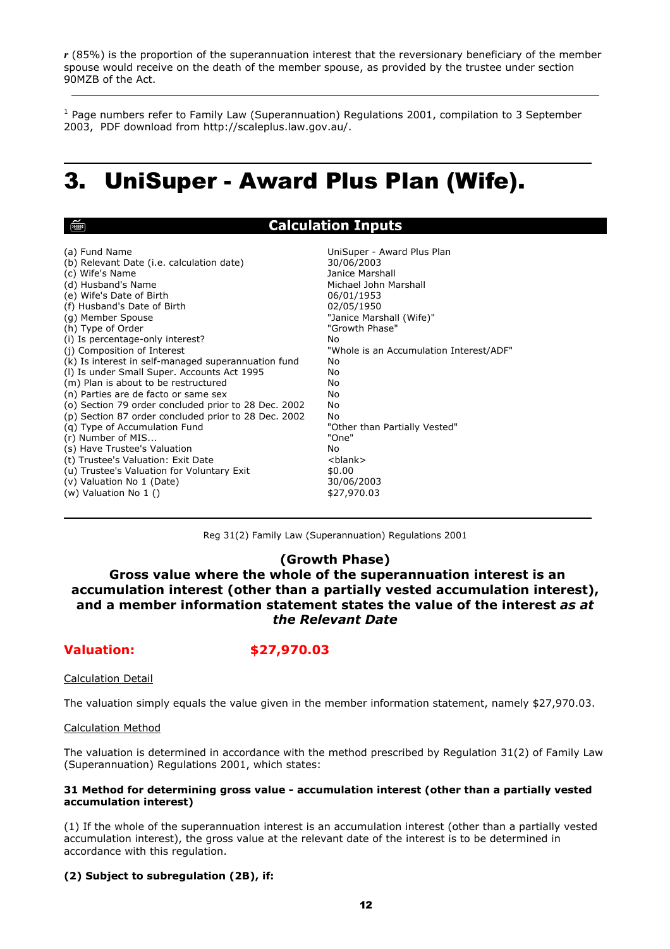*r* (85%) is the proportion of the superannuation interest that the reversionary beneficiary of the member spouse would receive on the death of the member spouse, as provided by the trustee under section 90MZB of the Act.

<sup>1</sup> Page numbers refer to Family Law (Superannuation) Regulations 2001, compilation to 3 September 2003, PDF download from http://scaleplus.law.gov.au/.

## 3. UniSuper - Award Plus Plan (Wife).

Reg 31(2) Family Law (Superannuation) Regulations 2001

#### **(Growth Phase)**

 **Gross value where the whole of the superannuation interest is an accumulation interest (other than a partially vested accumulation interest), and a member information statement states the value of the interest** *as at the Relevant Date*

### **Valuation: \$27,970.03**

#### Calculation Detail

The valuation simply equals the value given in the member information statement, namely \$27,970.03.

#### Calculation Method

The valuation is determined in accordance with the method prescribed by Regulation 31(2) of Family Law (Superannuation) Regulations 2001, which states:

#### **31 Method for determining gross value - accumulation interest (other than a partially vested accumulation interest)**

(1) If the whole of the superannuation interest is an accumulation interest (other than a partially vested accumulation interest), the gross value at the relevant date of the interest is to be determined in accordance with this regulation.

#### **(2) Subject to subregulation (2B), if:**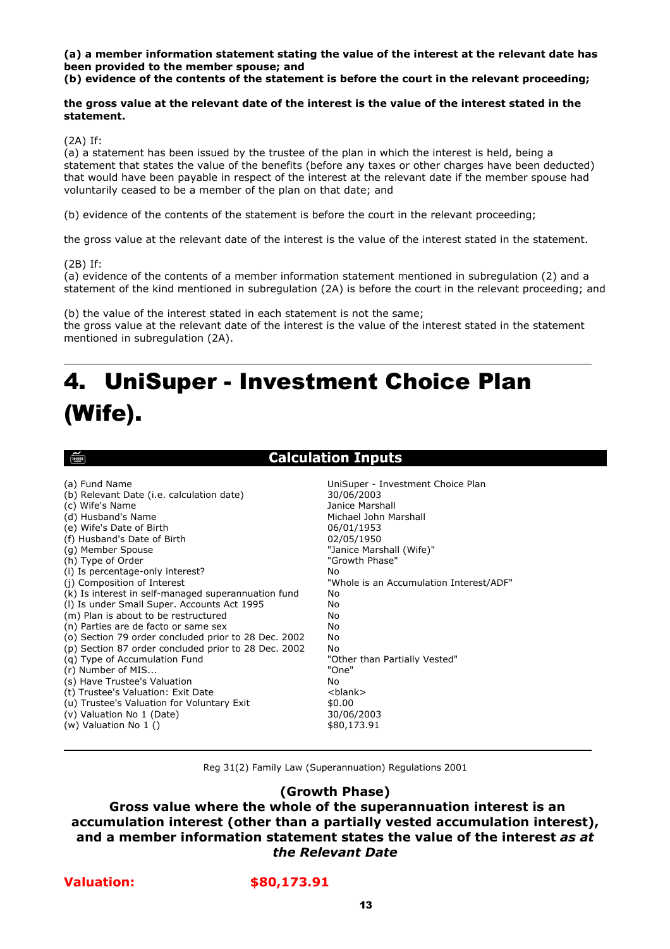**(a) a member information statement stating the value of the interest at the relevant date has been provided to the member spouse; and** 

**(b) evidence of the contents of the statement is before the court in the relevant proceeding;** 

#### **the gross value at the relevant date of the interest is the value of the interest stated in the statement.**

(2A) If:

(a) a statement has been issued by the trustee of the plan in which the interest is held, being a statement that states the value of the benefits (before any taxes or other charges have been deducted) that would have been payable in respect of the interest at the relevant date if the member spouse had voluntarily ceased to be a member of the plan on that date; and

(b) evidence of the contents of the statement is before the court in the relevant proceeding;

the gross value at the relevant date of the interest is the value of the interest stated in the statement.

(2B) If:

(a) evidence of the contents of a member information statement mentioned in subregulation (2) and a statement of the kind mentioned in subregulation (2A) is before the court in the relevant proceeding; and

(b) the value of the interest stated in each statement is not the same; the gross value at the relevant date of the interest is the value of the interest stated in the statement mentioned in subregulation (2A).

## 4. UniSuper - Investment Choice Plan (Wife).

िल्ला

### **Calculation Inputs**

| (a) Fund Name                                        | UniSuper - Investment Choice Plan       |
|------------------------------------------------------|-----------------------------------------|
| (b) Relevant Date (i.e. calculation date)            | 30/06/2003                              |
| (c) Wife's Name                                      | Janice Marshall                         |
| (d) Husband's Name                                   | Michael John Marshall                   |
| (e) Wife's Date of Birth                             | 06/01/1953                              |
| (f) Husband's Date of Birth                          | 02/05/1950                              |
| (g) Member Spouse                                    | "Janice Marshall (Wife)"                |
| (h) Type of Order                                    | "Growth Phase"                          |
| (i) Is percentage-only interest?                     | Nο                                      |
| (j) Composition of Interest                          | "Whole is an Accumulation Interest/ADF" |
| (k) Is interest in self-managed superannuation fund  | No                                      |
| (I) Is under Small Super. Accounts Act 1995          | No                                      |
| (m) Plan is about to be restructured                 | No                                      |
| (n) Parties are de facto or same sex                 | No                                      |
| (o) Section 79 order concluded prior to 28 Dec. 2002 | No                                      |
| (p) Section 87 order concluded prior to 28 Dec. 2002 | No                                      |
| (g) Type of Accumulation Fund                        | "Other than Partially Vested"           |
| (r) Number of MIS                                    | "One"                                   |
| (s) Have Trustee's Valuation                         | No                                      |
| (t) Trustee's Valuation: Exit Date                   | <blank></blank>                         |
| (u) Trustee's Valuation for Voluntary Exit           | \$0.00                                  |
| (v) Valuation No 1 (Date)                            | 30/06/2003                              |
| (w) Valuation No 1 ()                                | \$80,173.91                             |

Reg 31(2) Family Law (Superannuation) Regulations 2001

#### **(Growth Phase)**

 **Gross value where the whole of the superannuation interest is an accumulation interest (other than a partially vested accumulation interest), and a member information statement states the value of the interest** *as at the Relevant Date*

#### **Valuation: \$80,173.91**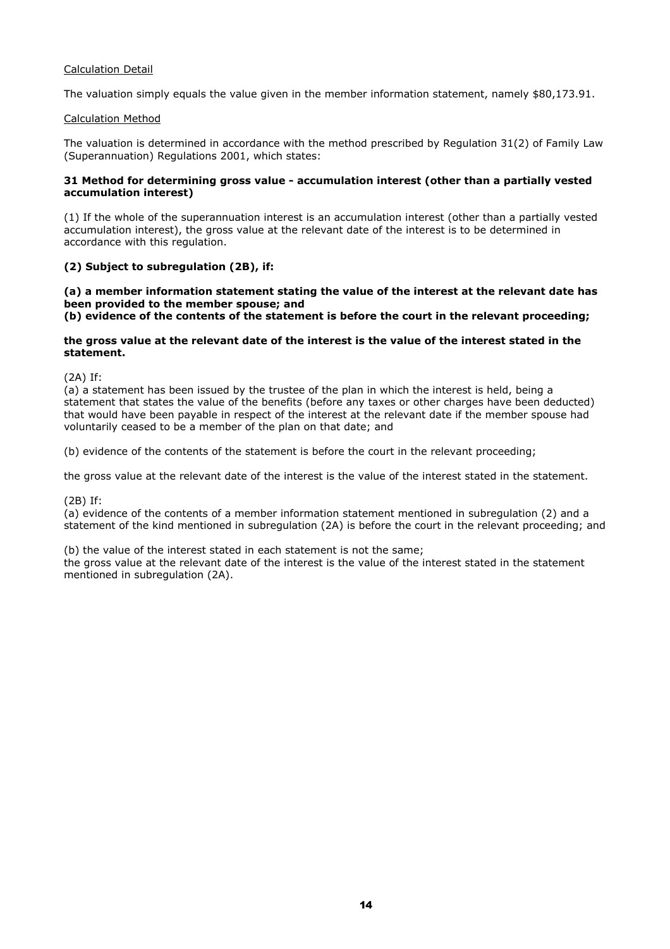#### Calculation Detail

The valuation simply equals the value given in the member information statement, namely \$80,173.91.

#### Calculation Method

The valuation is determined in accordance with the method prescribed by Regulation 31(2) of Family Law (Superannuation) Regulations 2001, which states:

#### **31 Method for determining gross value - accumulation interest (other than a partially vested accumulation interest)**

(1) If the whole of the superannuation interest is an accumulation interest (other than a partially vested accumulation interest), the gross value at the relevant date of the interest is to be determined in accordance with this regulation.

#### **(2) Subject to subregulation (2B), if:**

**(a) a member information statement stating the value of the interest at the relevant date has been provided to the member spouse; and** 

**(b) evidence of the contents of the statement is before the court in the relevant proceeding;** 

#### **the gross value at the relevant date of the interest is the value of the interest stated in the statement.**

(2A) If:

(a) a statement has been issued by the trustee of the plan in which the interest is held, being a statement that states the value of the benefits (before any taxes or other charges have been deducted) that would have been payable in respect of the interest at the relevant date if the member spouse had voluntarily ceased to be a member of the plan on that date; and

(b) evidence of the contents of the statement is before the court in the relevant proceeding;

the gross value at the relevant date of the interest is the value of the interest stated in the statement.

(2B) If:

(a) evidence of the contents of a member information statement mentioned in subregulation (2) and a statement of the kind mentioned in subregulation (2A) is before the court in the relevant proceeding; and

(b) the value of the interest stated in each statement is not the same;

the gross value at the relevant date of the interest is the value of the interest stated in the statement mentioned in subregulation (2A).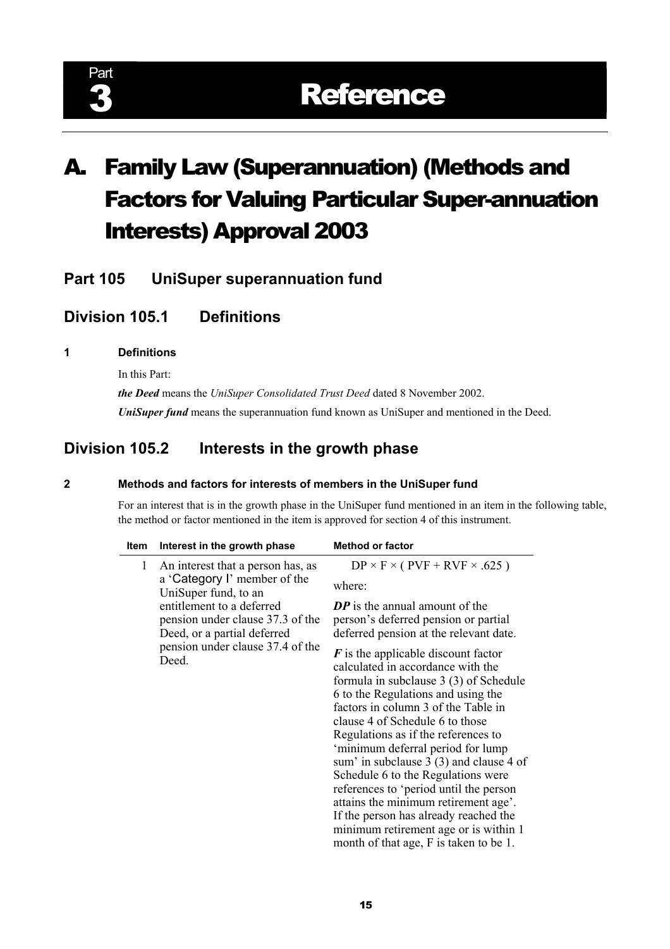# A. Family Law (Superannuation) (Methods and Factors for Valuing Particular Super-annuation Interests) Approval 2003

**Part 105 UniSuper superannuation fund** 

### **Division 105.1 Definitions**

#### **1 Definitions**

In this Part:

*the Deed* means the *UniSuper Consolidated Trust Deed* dated 8 November 2002. *UniSuper fund* means the superannuation fund known as UniSuper and mentioned in the Deed.

### **Division 105.2 Interests in the growth phase**

#### **2 Methods and factors for interests of members in the UniSuper fund**

 For an interest that is in the growth phase in the UniSuper fund mentioned in an item in the following table, the method or factor mentioned in the item is approved for section 4 of this instrument.

| $DP \times F \times (PVF + RVF \times .625)$<br>where:                                                                                                                                                                                                                                                                                                                                                                                                                                                                                                                                                                       |
|------------------------------------------------------------------------------------------------------------------------------------------------------------------------------------------------------------------------------------------------------------------------------------------------------------------------------------------------------------------------------------------------------------------------------------------------------------------------------------------------------------------------------------------------------------------------------------------------------------------------------|
|                                                                                                                                                                                                                                                                                                                                                                                                                                                                                                                                                                                                                              |
|                                                                                                                                                                                                                                                                                                                                                                                                                                                                                                                                                                                                                              |
| <b>DP</b> is the annual amount of the<br>person's deferred pension or partial<br>deferred pension at the relevant date.                                                                                                                                                                                                                                                                                                                                                                                                                                                                                                      |
| $\boldsymbol{F}$ is the applicable discount factor<br>calculated in accordance with the<br>formula in subclause 3 (3) of Schedule<br>6 to the Regulations and using the<br>factors in column 3 of the Table in<br>clause 4 of Schedule 6 to those<br>Regulations as if the references to<br>'minimum deferral period for lump<br>sum' in subclause 3 (3) and clause 4 of<br>Schedule 6 to the Regulations were<br>references to 'period until the person<br>attains the minimum retirement age'.<br>If the person has already reached the<br>minimum retirement age or is within 1<br>month of that age, F is taken to be 1. |
|                                                                                                                                                                                                                                                                                                                                                                                                                                                                                                                                                                                                                              |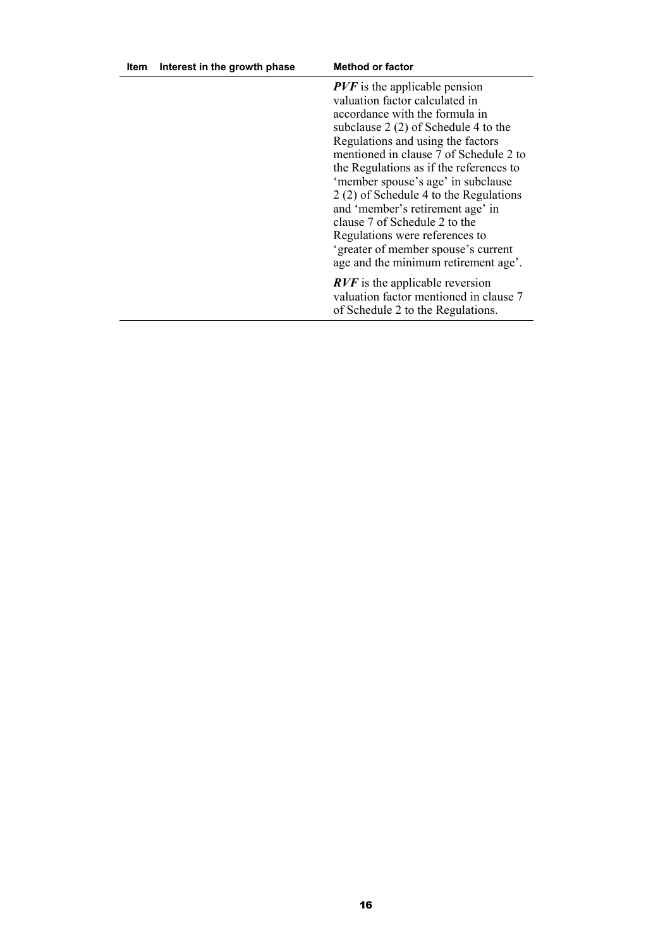| Item | Interest in the growth phase | <b>Method or factor</b>                                                                                                                                                                                                                                                                                                                                                                                                                                                                                                                      |
|------|------------------------------|----------------------------------------------------------------------------------------------------------------------------------------------------------------------------------------------------------------------------------------------------------------------------------------------------------------------------------------------------------------------------------------------------------------------------------------------------------------------------------------------------------------------------------------------|
|      |                              | $PVF$ is the applicable pension<br>valuation factor calculated in<br>accordance with the formula in<br>subclause $2(2)$ of Schedule 4 to the<br>Regulations and using the factors<br>mentioned in clause 7 of Schedule 2 to<br>the Regulations as if the references to<br>'member spouse's age' in subclause<br>2 (2) of Schedule 4 to the Regulations<br>and 'member's retirement age' in<br>clause 7 of Schedule 2 to the<br>Regulations were references to<br>'greater of member spouse's current<br>age and the minimum retirement age'. |
|      |                              | <b>RVF</b> is the applicable reversion<br>valuation factor mentioned in clause 7<br>of Schedule 2 to the Regulations.                                                                                                                                                                                                                                                                                                                                                                                                                        |